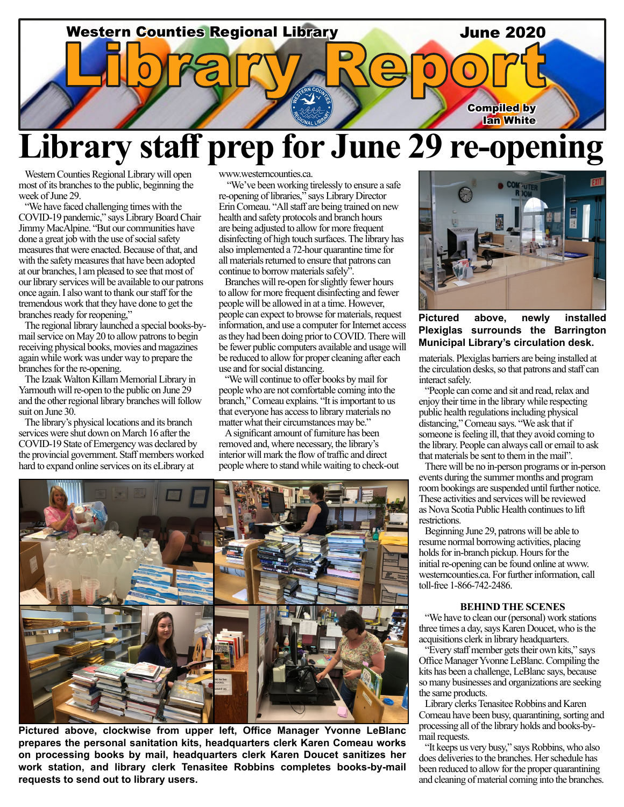

## **Library staff prep for June 29 re-opening**

Western Counties Regional Library will open most of its branches to the public, beginning the week of June 29.

"We have faced challenging times with the COVID-19 pandemic," says Library Board Chair Jimmy MacAlpine. "But our communities have done a great job with the use of social safety measures that were enacted. Because of that, and with the safety measures that have been adopted at our branches, l am pleased to see that most of our library services will be available to our patrons once again. I also want to thank our staff for the tremendous work that they have done to get the branches ready for reopening,"

The regional library launched a special books-bymail service on May 20 to allow patrons to begin receiving physical books, movies and magazines again while work was under way to prepare the branches for the re-opening.

The Izaak Walton Killam Memorial Library in Yarmouth will re-open to the public on June 29 and the other regional library branches will follow suit on June 30.

The library's physical locations and its branch services were shut down on March 16 after the COVID-19 State of Emergency was declared by the provincial government. Staff members worked hard to expand online services on its eLibrary at

www.westerncounties.ca.

 "We've been working tirelessly to ensure a safe re-opening of libraries," says Library Director Erin Comeau. "All staff are being trained on new health and safety protocols and branch hours are being adjusted to allow for more frequent disinfecting of high touch surfaces. The library has also implemented a 72-hour quarantine time for all materials returned to ensure that patrons can continue to borrow materials safely".

Branches will re-open for slightly fewer hours to allow for more frequent disinfecting and fewer people will be allowed in at a time. However, people can expect to browse for materials, request information, and use a computer for Internet access as they had been doing prior to COVID. There will be fewer public computers available and usage will be reduced to allow for proper cleaning after each use and for social distancing.

"We will continue to offer books by mail for people who are not comfortable coming into the branch," Comeau explains. "It is important to us that everyone has access to library materials no matter what their circumstances may be."

A significant amount of furniture has been removed and, where necessary, the library's interior will mark the flow of traffic and direct people where to stand while waiting to check-out



**Pictured above, clockwise from upper left, Office Manager Yvonne LeBlanc prepares the personal sanitation kits, headquarters clerk Karen Comeau works on processing books by mail, headquarters clerk Karen Doucet sanitizes her work station, and library clerk Tenasitee Robbins completes books-by-mail requests to send out to library users.**



**Pictured above, newly installed Plexiglas surrounds the Barrington Municipal Library's circulation desk.**

materials. Plexiglas barriers are being installed at the circulation desks, so that patrons and staff can interact safely.

"People can come and sit and read, relax and enjoy their time in the library while respecting public health regulations including physical distancing," Comeau says. "We ask that if someone is feeling ill, that they avoid coming to the library. People can always call or email to ask that materials be sent to them in the mail".

There will be no in-person programs or in-person events during the summer months and program room bookings are suspended until further notice. These activities and services will be reviewed as Nova Scotia Public Health continues to lift restrictions.

Beginning June 29, patrons will be able to resume normal borrowing activities, placing holds for in-branch pickup. Hours for the initial re-opening can be found online at www. westerncounties.ca. For further information, call toll-free 1-866-742-2486.

#### **BEHIND THE SCENES**

"We have to clean our (personal) work stations three times a day, says Karen Doucet, who is the acquisitions clerk in library headquarters.

"Every staff member gets their own kits," says Office Manager Yvonne LeBlanc. Compiling the kits has been a challenge, LeBlanc says, because so many businesses and organizations are seeking the same products.

Library clerks Tenasitee Robbins and Karen Comeau have been busy, quarantining, sorting and processing all of the library holds and books-bymail requests.

"It keeps us very busy," says Robbins, who also does deliveries to the branches. Her schedule has been reduced to allow for the proper quarantining and cleaning of material coming into the branches.